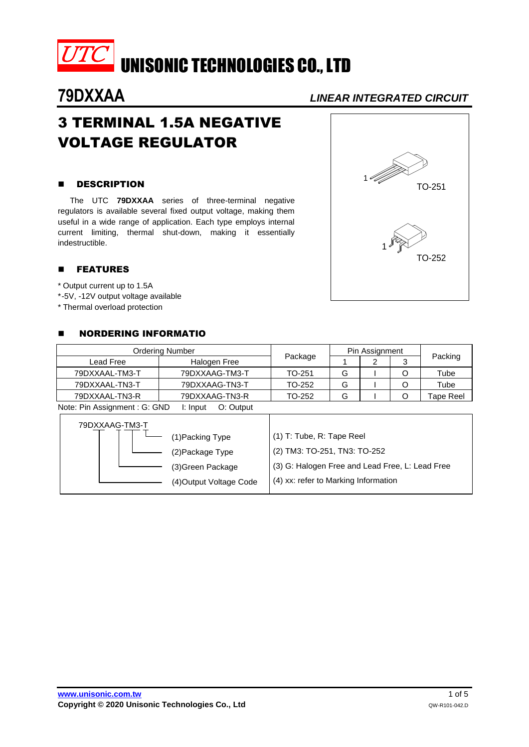

# **79DXXAA** *LINEAR INTEGRATED CIRCUIT*

# 3 TERMINAL 1.5A NEGATIVE VOLTAGE REGULATOR

### **B** DESCRIPTION

The UTC **79DXXAA** series of three-terminal negative regulators is available several fixed output voltage, making them useful in a wide range of application. Each type employs internal current limiting, thermal shut-down, making it essentially indestructible.

### **E** FEATURES

- \* Output current up to 1.5A
- \*-5V, -12V output voltage available
- \* Thermal overload protection

### **NORDERING INFORMATIO**

| <b>Ordering Number</b>            |                                                          |         | Pin Assignment |  |  |           |
|-----------------------------------|----------------------------------------------------------|---------|----------------|--|--|-----------|
| Lead Free                         | Halogen Free                                             | Package |                |  |  | Packing   |
| 79DXXAAL-TM3-T                    | 79DXXAAG-TM3-T                                           | TO-251  | G              |  |  | Tube      |
| 79DXXAAL-TN3-T                    | 79DXXAAG-TN3-T                                           | TO-252  | G              |  |  | Tube      |
| 79DXXAAL-TN3-R                    | 79DXXAAG-TN3-R                                           | TO-252  | G              |  |  | Tape Reel |
| $M$ oto: Din Accianmont $C$ : CND | l: Innut<br>$\bigcap_{i}$ $\bigcap_{i}$ if $\bigcup_{i}$ |         |                |  |  |           |

Note: Pin Assignment : G: GND I: Input O: Output

| 79DXXAAG-TM3-T |                         |                                                 |
|----------------|-------------------------|-------------------------------------------------|
|                | (1) Packing Type        | (1) T: Tube, R: Tape Reel                       |
|                | (2) Package Type        | (2) TM3: TO-251, TN3: TO-252                    |
|                | (3) Green Package       | (3) G: Halogen Free and Lead Free, L: Lead Free |
|                | (4) Output Voltage Code | (4) xx: refer to Marking Information            |

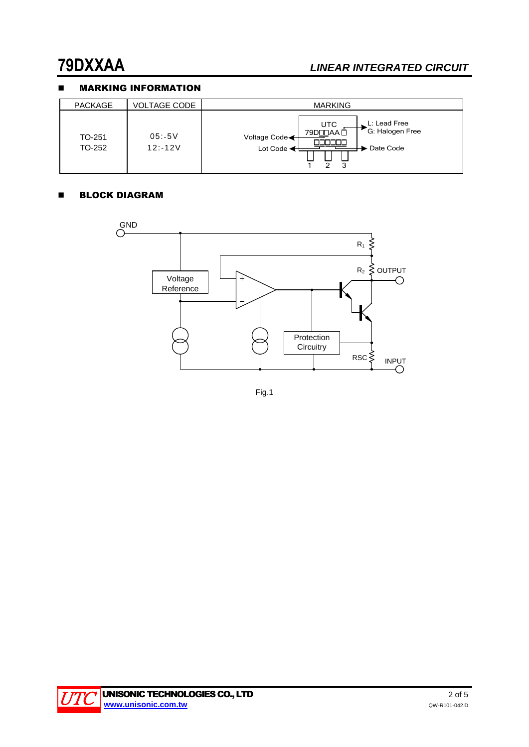# **79DXXAA** *LINEAR INTEGRATED CIRCUIT*

## **NARKING INFORMATION**

| <b>PACKAGE</b>   | VOLTAGE CODE        | <b>MARKING</b>                                                                                                                             |
|------------------|---------------------|--------------------------------------------------------------------------------------------------------------------------------------------|
| TO-251<br>TO-252 | 05:5V<br>$12: -12V$ | L: Lead Free<br><b>UTC</b><br>G: Halogen Free<br>79DODAA O<br>Voltage Code<br>nnnr<br>Lot Code $\blacktriangleleft$<br>Date Code<br>◠<br>3 |

#### **BLOCK DIAGRAM**



Fig.1

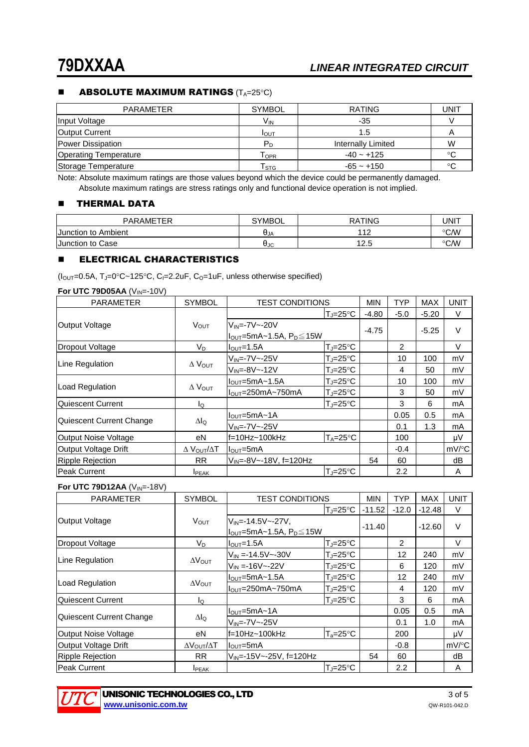#### **ABSOLUTE MAXIMUM RATINGS**  $(T_A=25^{\circ}C)$

| PARAMETER                    | <b>SYMBOL</b>               | <b>RATING</b>      | UNIT |
|------------------------------|-----------------------------|--------------------|------|
| Input Voltage                | V <sub>IN</sub>             | -35                |      |
| <b>Output Current</b>        | I <sub>OUT</sub>            | 1.5                |      |
| Power Dissipation            | $P_D$                       | Internally Limited | W    |
| <b>Operating Temperature</b> | $\mathsf{T}_\mathsf{OPR}$   | $-40 - +125$       | °C   |
| Storage Temperature          | $\mathsf{T}_{\texttt{STG}}$ | $-65 - +150$       |      |

Note: Absolute maximum ratings are those values beyond which the device could be permanently damaged. Absolute maximum ratings are stress ratings only and functional device operation is not implied.

#### **THERMAL DATA**

| <b>PARAMETER</b>    | <b>SYMBOL</b> | <b>RATING</b> | UNIT |
|---------------------|---------------|---------------|------|
| Junction to Ambient | $\theta_{JA}$ | 11つ<br>' -    | ℃⁄W  |
| Junction to Case    | θJc           | 12.5          | ℃⁄W  |

#### **ELECTRICAL CHARACTERISTICS**

 $(l_{\text{OUT}}=0.5A, T_{\text{J}}=0^{\circ}\text{C}-125^{\circ}\text{C}, C_{\text{I}}=2.2\text{uF}, C_{\text{O}}=1\text{uF},$  unless otherwise specified)

| For UTC 79D05AA (VIN=-10V) |  |  |  |  |
|----------------------------|--|--|--|--|
|----------------------------|--|--|--|--|

| <b>PARAMETER</b>            | <b>SYMBOL</b>                      | <b>TEST CONDITIONS</b>              |                     | <b>MIN</b> | <b>TYP</b> | <b>MAX</b> | <b>UNIT</b>         |
|-----------------------------|------------------------------------|-------------------------------------|---------------------|------------|------------|------------|---------------------|
|                             |                                    |                                     | $T_J = 25^{\circ}C$ | $-4.80$    | $-5.0$     | $-5.20$    | V                   |
| Output Voltage              | <b>VOUT</b>                        | $V_{IN} = -7V - -20V$               |                     |            |            | $-5.25$    | $\vee$              |
|                             |                                    | $I_{OUT}$ =5mA~1.5A, $P_D \leq 15W$ |                     | $-4.75$    |            |            |                     |
| <b>Dropout Voltage</b>      | $V_D$                              | $IOUT=1.5A$                         | $T_J = 25^{\circ}C$ |            | 2          |            | $\vee$              |
|                             |                                    | $V_{IN} = -7V \sim -25V$            | $T_{\rm J}$ =25°C   |            | 10         | 100        | mV                  |
| Line Regulation             | $\Delta$ $V_{OUT}$                 | $V_{IN} = -8V - -12V$               | $T_J = 25^{\circ}C$ |            | 4          | 50         | mV                  |
|                             | $\Delta$ Vout                      | $IOUT=5mA~1.5A$                     | $T_J = 25^\circ C$  |            | 10         | 100        | mV                  |
| Load Regulation             |                                    | $IOUT=250mA~750mA$                  | $T_J = 25^{\circ}C$ |            | 3          | 50         | mV                  |
| Quiescent Current           | lo                                 |                                     | $T = 25^{\circ}C$   |            | 3          | 6          | mA                  |
|                             | Δlo                                | $IOUT=5mA~1A$                       |                     |            | 0.05       | 0.5        | mA                  |
| Quiescent Current Change    |                                    | $V_{IN} = -7V \sim -25V$            |                     |            | 0.1        | 1.3        | mA                  |
| Output Noise Voltage        | eN                                 | $f=10Hz-100kHz$                     | $T_A = 25^{\circ}C$ |            | 100        |            | μV                  |
| <b>Output Voltage Drift</b> | $\Delta$ $V_{\text{OUT}}/\Delta T$ | l <sub>out</sub> =5mA               |                     |            | $-0.4$     |            | $mV$ <sup>o</sup> C |
| <b>Ripple Rejection</b>     | <b>RR</b>                          | $V_{IN} = -8V - -18V$ , f=120Hz     |                     | 54         | 60         |            | dB                  |
| <b>Peak Current</b>         | <b>I</b> PEAK                      |                                     | $T = 25^{\circ}C$   |            | 2.2        |            | A                   |

#### **For UTC 79D12AA** (V<sub>IN</sub>=-18V)

| <b>PARAMETER</b>         | <b>SYMBOL</b>                    | <b>TEST CONDITIONS</b>             |                           | <b>MIN</b> | <b>TYP</b> | <b>MAX</b> | <b>UNIT</b> |
|--------------------------|----------------------------------|------------------------------------|---------------------------|------------|------------|------------|-------------|
|                          |                                  |                                    | $T = 25^{\circ}C$         | $-11.52$   | $-12.0$    | $-12.48$   | V           |
| Output Voltage           | <b>VOUT</b>                      | $V_{IN} = -14.5V - -27V$           |                           | $-11.40$   |            | $-12.60$   | $\vee$      |
|                          |                                  | $I_{OUT}$ =5mA~1.5A, $P_D \le 15W$ |                           |            |            |            |             |
| Dropout Voltage          | $V_D$                            | $I_{\text{OUT}}=1.5A$              | $T_{\rm J} = 25^{\circ}C$ |            | 2          |            | V           |
|                          |                                  | $V_{IN} = -14.5V - -30V$           | $T_J = 25^{\circ}C$       |            | 12         | 240        | mV          |
| Line Regulation          | $\Delta V_{\text{OUT}}$          | $V_{IN} = -16V - -22V$             | $T_J = 25^{\circ}C$       |            | 6          | 120        | mV          |
|                          | $\Delta V_{\text{OUT}}$          | $I_{\text{OUT}} = 5mA - 1.5A$      | $T_{\rm J}$ =25°C         |            | 12         | 240        | mV          |
| Load Regulation          |                                  | $IOUT=250mA~750mA$                 | $T_J = 25^{\circ}C$       |            | 4          | 120        | mV          |
| Quiescent Current        | ΙQ                               |                                    | $T_J = 25^{\circ}C$       |            | 3          | 6          | mA          |
|                          | $\Delta I_Q$                     | $I_{\text{OUT}} = 5mA - 1A$        |                           |            | 0.05       | 0.5        | mA          |
| Quiescent Current Change |                                  | $V_{IN} = -7V - -25V$              |                           |            | 0.1        | 1.0        | mA          |
| Output Noise Voltage     | еN                               | f=10Hz~100kHz                      | $T_a = 25^{\circ}C$       |            | 200        |            | μV          |
| Output Voltage Drift     | $\Delta V_{\text{OUT}}/\Delta T$ | $I_{\text{OUT}} = 5 \text{mA}$     |                           |            | $-0.8$     |            | mV/°C       |
| <b>Ripple Rejection</b>  | <b>RR</b>                        | $V_{IN}$ =-15V ~-25V, f=120Hz      |                           | 54         | 60         |            | dB          |
| Peak Current             | <b>I</b> PEAK                    |                                    | lT.⊫25°C                  |            | 2.2        |            | A           |

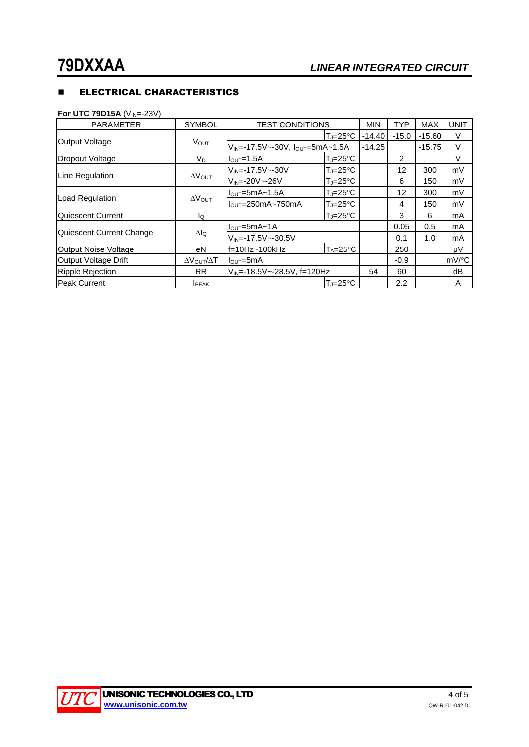## **ELECTRICAL CHARACTERISTICS**

**For UTC 79D15A** (V<sub>IN</sub>=-23V)

| <b>PARAMETER</b>            | <b>SYMBOL</b>                    | <b>TEST CONDITIONS</b>                     |                     | <b>MIN</b> | <b>TYP</b>     | <b>MAX</b> | <b>UNIT</b>         |
|-----------------------------|----------------------------------|--------------------------------------------|---------------------|------------|----------------|------------|---------------------|
| <b>Output Voltage</b>       |                                  |                                            | TJ=25°C             | $-14.40$   | $-15.0$        | $-15.60$   | V                   |
|                             | <b>VOUT</b>                      | $V_{IN}$ =-17.5V~-30V, $I_{OUT}$ =5mA~1.5A |                     | $-14.25$   |                | $-15.75$   | V                   |
| Dropout Voltage             | $V_D$                            | $IOUT=1.5A$                                | $T = 25^{\circ}C$   |            | $\overline{2}$ |            | V                   |
|                             |                                  | $V_{IN} = -17.5V - -30V$                   | $T = 25^{\circ}C$   |            | 12             | 300        | mV                  |
| Line Regulation             | $\Delta V_{\text{OUT}}$          | $V_{IN} = -20V - -26V$                     | $T = 25^{\circ}C$   |            | 6              | 150        | mV                  |
| Load Regulation             | $\Delta V_{\text{OUT}}$          | $IOUT=5mA~1.5A$                            | $T_J = 25^{\circ}C$ |            | 12             | 300        | mV                  |
|                             |                                  | $IQUT=250mA~750mA$                         | $T = 25^{\circ}C$   |            | 4              | 150        | mV                  |
| Quiescent Current           | lQ                               |                                            | $T = 25^{\circ}C$   |            | 3              | 6          | mA                  |
|                             | Δlo                              | $IOUT=5mA~1A$                              |                     |            | 0.05           | 0.5        | mA                  |
| Quiescent Current Change    |                                  | $V_{IN} = -17.5V - -30.5V$                 |                     |            | 0.1            | 1.0        | mA                  |
| <b>Output Noise Voltage</b> | eN                               | f=10Hz~100kHz                              | $T_A = 25^{\circ}C$ |            | 250            |            | μV                  |
| Output Voltage Drift        | $\Delta V_{\text{OUT}}/\Delta T$ | $I_{\text{OUT}} = 5 \text{mA}$             |                     |            | $-0.9$         |            | $mV$ <sup>o</sup> C |
| <b>Ripple Rejection</b>     | <b>RR</b>                        | V <sub>IN</sub> =-18.5V~-28.5V, f=120Hz    |                     | 54         | 60             |            | dB                  |
| <b>Peak Current</b>         | <b>IPEAK</b>                     |                                            | lT.⊫25°C            |            | 2.2            |            | A                   |